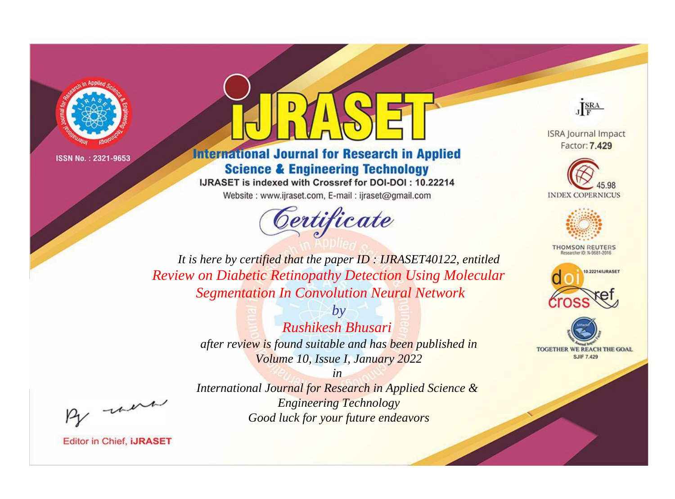

# **International Journal for Research in Applied Science & Engineering Technology**

IJRASET is indexed with Crossref for DOI-DOI: 10.22214 Website: www.ijraset.com, E-mail: ijraset@gmail.com



JERA

**ISRA Journal Impact** Factor: 7.429





**THOMSON REUTERS** 



TOGETHER WE REACH THE GOAL **SJIF 7.429** 

It is here by certified that the paper ID: IJRASET40122, entitled **Review on Diabetic Retinopathy Detection Using Molecular Segmentation In Convolution Neural Network** 

> $b\nu$ Rushikesh Bhusari after review is found suitable and has been published in Volume 10, Issue I, January 2022

were

International Journal for Research in Applied Science & **Engineering Technology** Good luck for your future endeavors

 $in$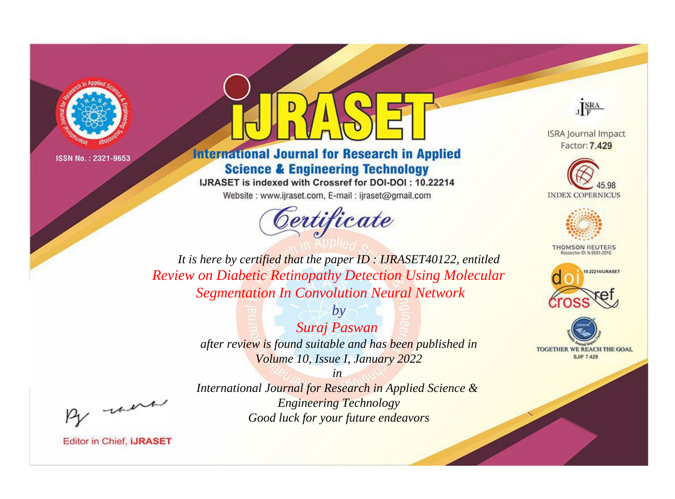

# **International Journal for Research in Applied Science & Engineering Technology**

IJRASET is indexed with Crossref for DOI-DOI: 10.22214

Website: www.ijraset.com, E-mail: ijraset@gmail.com



JERA

**ISRA Journal Impact** Factor: 7.429





**THOMSON REUTERS** 



TOGETHER WE REACH THE GOAL **SJIF 7.429** 

It is here by certified that the paper ID: IJRASET40122, entitled **Review on Diabetic Retinopathy Detection Using Molecular Segmentation In Convolution Neural Network** 

> $b\nu$ Suraj Paswan after review is found suitable and has been published in Volume 10, Issue I, January 2022

were

 $in$ International Journal for Research in Applied Science & **Engineering Technology** Good luck for your future endeavors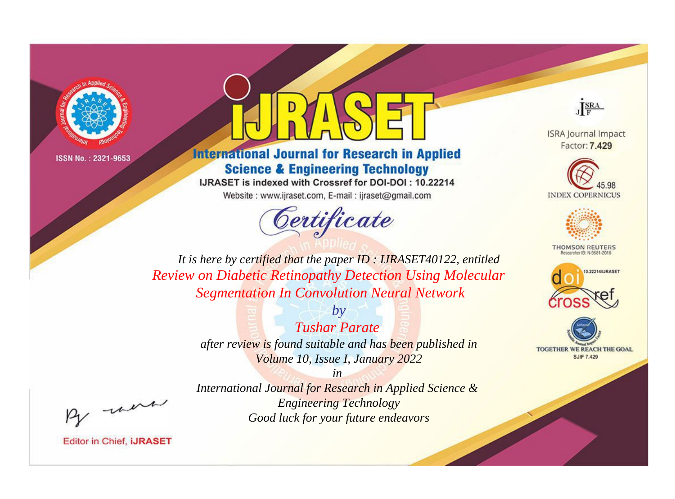

# **International Journal for Research in Applied Science & Engineering Technology**

IJRASET is indexed with Crossref for DOI-DOI: 10.22214

Website: www.ijraset.com, E-mail: ijraset@gmail.com



JERA

**ISRA Journal Impact** Factor: 7.429





**THOMSON REUTERS** 



TOGETHER WE REACH THE GOAL **SJIF 7.429** 

It is here by certified that the paper ID: IJRASET40122, entitled **Review on Diabetic Retinopathy Detection Using Molecular Segmentation In Convolution Neural Network** 

> $b\nu$ **Tushar Parate** after review is found suitable and has been published in Volume 10, Issue I, January 2022

were

International Journal for Research in Applied Science & **Engineering Technology** Good luck for your future endeavors

 $in$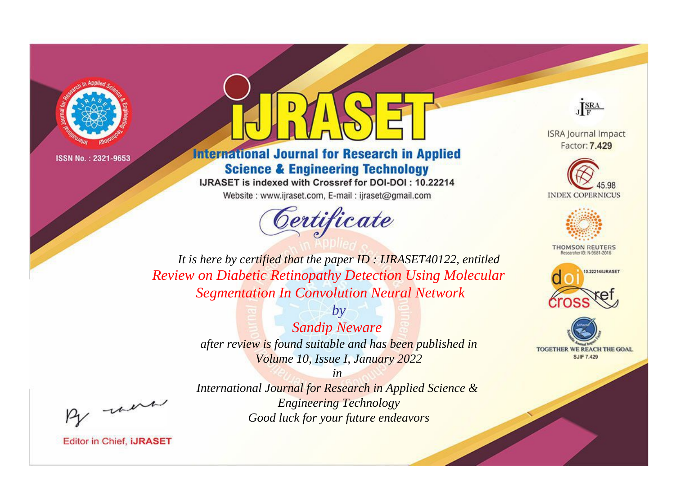

# **International Journal for Research in Applied Science & Engineering Technology**

IJRASET is indexed with Crossref for DOI-DOI: 10.22214

Website: www.ijraset.com, E-mail: ijraset@gmail.com



JERA

**ISRA Journal Impact** Factor: 7.429





**THOMSON REUTERS** 



TOGETHER WE REACH THE GOAL **SJIF 7.429** 

It is here by certified that the paper ID: IJRASET40122, entitled **Review on Diabetic Retinopathy Detection Using Molecular Segmentation In Convolution Neural Network** 

> $b\nu$ **Sandip Neware** after review is found suitable and has been published in Volume 10, Issue I, January 2022

were

 $in$ International Journal for Research in Applied Science & **Engineering Technology** Good luck for your future endeavors